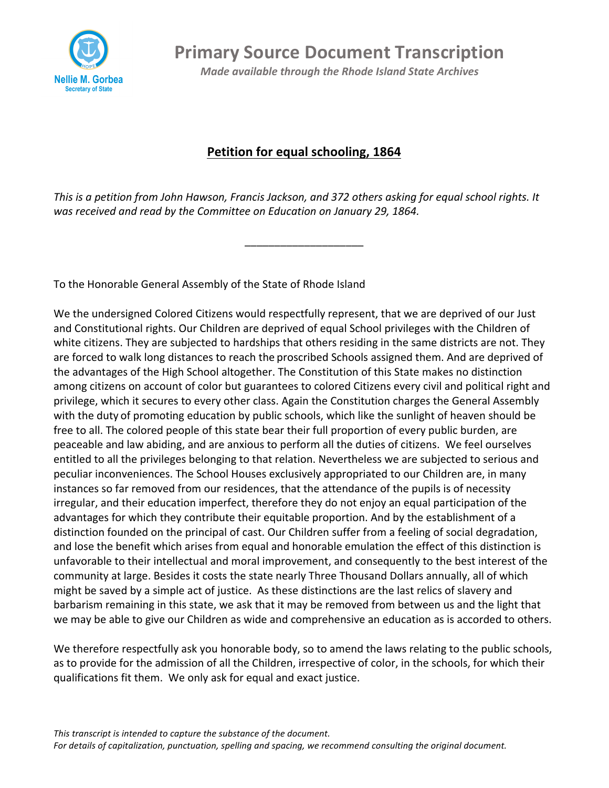

**Primary Source Document Transcription** 

*Made available through the Rhode Island State Archives* 

## **Petition for equal schooling, 1864**

This is a petition from John Hawson, Francis Jackson, and 372 others asking for equal school rights. It was received and read by the Committee on Education on January 29, 1864.

\_\_\_\_\_\_\_\_\_\_\_\_\_\_\_\_\_\_\_\_

To the Honorable General Assembly of the State of Rhode Island

We the undersigned Colored Citizens would respectfully represent, that we are deprived of our Just and Constitutional rights. Our Children are deprived of equal School privileges with the Children of white citizens. They are subjected to hardships that others residing in the same districts are not. They are forced to walk long distances to reach the proscribed Schools assigned them. And are deprived of the advantages of the High School altogether. The Constitution of this State makes no distinction among citizens on account of color but guarantees to colored Citizens every civil and political right and privilege, which it secures to every other class. Again the Constitution charges the General Assembly with the duty of promoting education by public schools, which like the sunlight of heaven should be free to all. The colored people of this state bear their full proportion of every public burden, are peaceable and law abiding, and are anxious to perform all the duties of citizens. We feel ourselves entitled to all the privileges belonging to that relation. Nevertheless we are subjected to serious and peculiar inconveniences. The School Houses exclusively appropriated to our Children are, in many instances so far removed from our residences, that the attendance of the pupils is of necessity irregular, and their education imperfect, therefore they do not enjoy an equal participation of the advantages for which they contribute their equitable proportion. And by the establishment of a distinction founded on the principal of cast. Our Children suffer from a feeling of social degradation, and lose the benefit which arises from equal and honorable emulation the effect of this distinction is unfavorable to their intellectual and moral improvement, and consequently to the best interest of the community at large. Besides it costs the state nearly Three Thousand Dollars annually, all of which might be saved by a simple act of justice. As these distinctions are the last relics of slavery and barbarism remaining in this state, we ask that it may be removed from between us and the light that we may be able to give our Children as wide and comprehensive an education as is accorded to others.

We therefore respectfully ask you honorable body, so to amend the laws relating to the public schools, as to provide for the admission of all the Children, irrespective of color, in the schools, for which their qualifications fit them. We only ask for equal and exact justice.